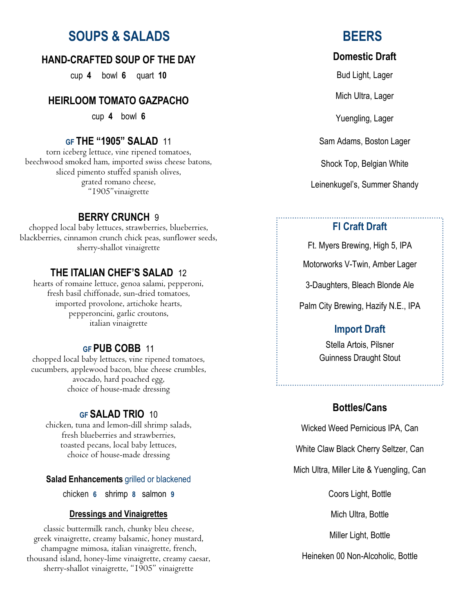# **SOUPS & SALADS BEERS**

#### **HAND-CRAFTED SOUP OF THE DAY**

cup **4** bowl **6** quart **10**

#### **HEIRLOOM TOMATO GAZPACHO**

cup **4** bowl **6**

#### **GF THE "1905" SALAD** 11

torn iceberg lettuce, vine ripened tomatoes, beechwood smoked ham, imported swiss cheese batons, sliced pimento stuffed spanish olives, grated romano cheese, "1905"vinaigrette

#### **BERRY CRUNCH** 9

chopped local baby lettuces, strawberries, blueberries, blackberries, cinnamon crunch chick peas, sunflower seeds, sherry-shallot vinaigrette

#### **THE ITALIAN CHEF'S SALAD** 12

hearts of romaine lettuce, genoa salami, pepperoni, fresh basil chiffonade, sun-dried tomatoes, imported provolone, artichoke hearts, pepperoncini, garlic croutons, italian vinaigrette

#### **GF PUB COBB** 11

chopped local baby lettuces, vine ripened tomatoes, cucumbers, applewood bacon, blue cheese crumbles, avocado, hard poached egg, choice of house-made dressing

#### **GF SALAD TRIO** 10

chicken, tuna and lemon-dill shrimp salads, fresh blueberries and strawberries, toasted pecans, local baby lettuces, choice of house-made dressing

#### **Salad Enhancements** grilled or blackened

chicken **6** shrimp **8** salmon **9**

#### **Dressings and Vinaigrettes**

classic buttermilk ranch, chunky bleu cheese, greek vinaigrette, creamy balsamic, honey mustard, champagne mimosa, italian vinaigrette, french, thousand island, honey-lime vinaigrette, creamy caesar, sherry-shallot vinaigrette, "1905" vinaigrette

#### **Domestic Draft**

Bud Light, Lager

Mich Ultra, Lager

Yuengling, Lager

Sam Adams, Boston Lager

Shock Top, Belgian White

Leinenkugel's, Summer Shandy

#### **Fl Craft Draft**

Ft. Myers Brewing, High 5, IPA

Motorworks V-Twin, Amber Lager

3-Daughters, Bleach Blonde Ale

Palm City Brewing, Hazify N.E., IPA

#### **Import Draft**

Stella Artois, Pilsner Guinness Draught Stout

#### **Bottles/Cans**

Wicked Weed Pernicious IPA, Can

White Claw Black Cherry Seltzer, Can

Mich Ultra, Miller Lite & Yuengling, Can

Coors Light, Bottle

Mich Ultra, Bottle

Miller Light, Bottle

Heineken 00 Non-Alcoholic, Bottle